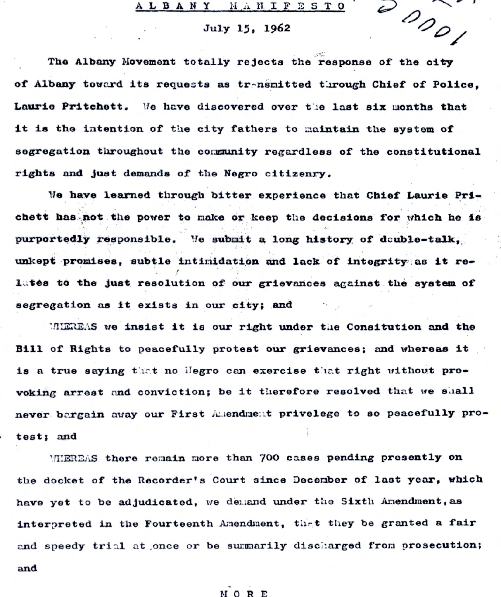## ALBANY HANIFESTO

## July 15, 1962

 $\overset{\omega}{\rho}\rho_{\rho}$ 

The Albany Movement totally rejects the response of the city of Albany toward its requests as trensmitted through Chief of Police, Laurie Pritchett. We have discovered over the last six months that it is the intention of the city fathers to maintain the system of segregation throughout the community regardless of the constitutional rights and just demands of the Negro citizenry.

We have learned through bitter experience that Chief Laurie Prichett has not the power to make or keep the decisions for which he is purportedly responsible. We submit a long history of deuble-talk, unkept promises, subtle intimidation and lack of integrity as it relates to the just resolution of our grievances against the system of segregation as it exists in our city; and

MIEREAS we insist it is our right under the Consitution and the Bill of Rights to peacefully protest our grievances; and whereas it is a true saying that no Hegro can exercise that right without provoking arrest and conviction; be it therefore resolved that we shall never bargain away our First Amendment privelege to so peacefully protest; and

MMEREAS there remain more than 700 cases pending presently on the docket of the Recorder's Court since December of last year, which have yet to be adjudicated, we demand under the Sixth Amendment, as interpreted in the Fourteenth Amendment, that they be granted a fair and speedy trial at once or be summarily discharged from prosecution; and

## **MORE**